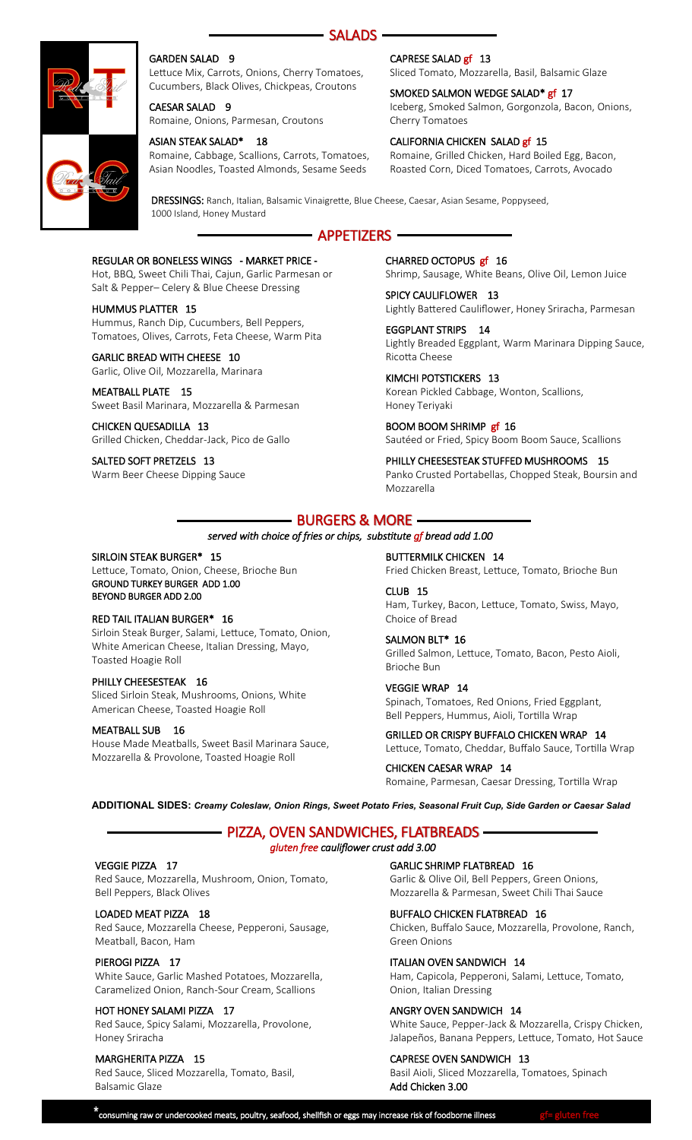



#### GARDEN SALAD 9

Lettuce Mix, Carrots, Onions, Cherry Tomatoes, Cucumbers, Black Olives, Chickpeas, Croutons

CAESAR SALAD 9 Romaine, Onions, Parmesan, Croutons

#### ASIAN STEAK SALAD\* 18

Romaine, Cabbage, Scallions, Carrots, Tomatoes, Asian Noodles, Toasted Almonds, Sesame Seeds

#### CAPRESE SALAD gf 13

Sliced Tomato, Mozzarella, Basil, Balsamic Glaze

#### SMOKED SALMON WEDGE SALAD<sup>\*</sup> gf 17 Iceberg, Smoked Salmon, Gorgonzola, Bacon, Onions, Cherry Tomatoes

#### CALIFORNIA CHICKEN SALAD gf 15

Romaine, Grilled Chicken, Hard Boiled Egg, Bacon, Roasted Corn, Diced Tomatoes, Carrots, Avocado

DRESSINGS: Ranch, Italian, Balsamic Vinaigrette, Blue Cheese, Caesar, Asian Sesame, Poppyseed, 1000 Island, Honey Mustard

# APPETIZERS

#### REGULAR OR BONELESS WINGS - MARKET PRICE -

Hot, BBQ, Sweet Chili Thai, Cajun, Garlic Parmesan or Salt & Pepper– Celery & Blue Cheese Dressing

#### HUMMUS PLATTER 15

Hummus, Ranch Dip, Cucumbers, Bell Peppers, Tomatoes, Olives, Carrots, Feta Cheese, Warm Pita

#### GARLIC BREAD WITH CHEESE 10

Garlic, Olive Oil, Mozzarella, Marinara

# MEATBALL PLATE 15

Sweet Basil Marinara, Mozzarella & Parmesan CHICKEN QUESADILLA 13

Grilled Chicken, Cheddar-Jack, Pico de Gallo

SALTED SOFT PRETZELS 13 Warm Beer Cheese Dipping Sauce CHARRED OCTOPUS gf 16 Shrimp, Sausage, White Beans, Olive Oil, Lemon Juice

SPICY CAULIFLOWER 13 Lightly Battered Cauliflower, Honey Sriracha, Parmesan

EGGPLANT STRIPS 14 Lightly Breaded Eggplant, Warm Marinara Dipping Sauce, Ricotta Cheese

KIMCHI POTSTICKERS 13 Korean Pickled Cabbage, Wonton, Scallions, Honey Teriyaki

BOOM BOOM SHRIMP gf 16 Sautéed or Fried, Spicy Boom Boom Sauce, Scallions

PHILLY CHEESESTEAK STUFFED MUSHROOMS 15 Panko Crusted Portabellas, Chopped Steak, Boursin and Mozzarella

# BURGERS & MORE

#### *served with choice of fries or chips, substitute gf bread add 1.00*

#### SIRLOIN STEAK BURGER\* 15

Lettuce, Tomato, Onion, Cheese, Brioche Bun GROUND TURKEY BURGER ADD 1.00 BEYOND BURGER ADD 2.00

#### RED TAIL ITALIAN BURGER\* 16

Sirloin Steak Burger, Salami, Lettuce, Tomato, Onion, White American Cheese, Italian Dressing, Mayo, Toasted Hoagie Roll

#### PHILLY CHEESESTEAK 16

Sliced Sirloin Steak, Mushrooms, Onions, White American Cheese, Toasted Hoagie Roll

#### MEATBALL SUB 16

House Made Meatballs, Sweet Basil Marinara Sauce, Mozzarella & Provolone, Toasted Hoagie Roll

BUTTERMILK CHICKEN 14 Fried Chicken Breast, Lettuce, Tomato, Brioche Bun

CLUB 15 Ham, Turkey, Bacon, Lettuce, Tomato, Swiss, Mayo, Choice of Bread

SALMON BLT\* 16 Grilled Salmon, Lettuce, Tomato, Bacon, Pesto Aioli, Brioche Bun

VEGGIE WRAP 14 Spinach, Tomatoes, Red Onions, Fried Eggplant, Bell Peppers, Hummus, Aioli, Tortilla Wrap

GRILLED OR CRISPY BUFFALO CHICKEN WRAP 14 Lettuce, Tomato, Cheddar, Buffalo Sauce, Tortilla Wrap

CHICKEN CAESAR WRAP 14 Romaine, Parmesan, Caesar Dressing, Tortilla Wrap

**ADDITIONAL SIDES:** *Creamy Coleslaw, Onion Rings, Sweet Potato Fries, Seasonal Fruit Cup, Side Garden or Caesar Salad*

## PIZZA, OVEN SANDWICHES, FLATBREADS *gluten free cauliflower crust add 3.00*

#### VEGGIE PIZZA 17

Red Sauce, Mozzarella, Mushroom, Onion, Tomato, Bell Peppers, Black Olives

#### LOADED MEAT PIZZA 18

Red Sauce, Mozzarella Cheese, Pepperoni, Sausage, Meatball, Bacon, Ham

#### PIEROGI PIZZA 17

White Sauce, Garlic Mashed Potatoes, Mozzarella, Caramelized Onion, Ranch-Sour Cream, Scallions

#### HOT HONEY SALAMI PIZZA 17

Red Sauce, Spicy Salami, Mozzarella, Provolone, Honey Sriracha

#### MARGHERITA PIZZA 15

Red Sauce, Sliced Mozzarella, Tomato, Basil, Balsamic Glaze

GARLIC SHRIMP FLATBREAD 16

Garlic & Olive Oil, Bell Peppers, Green Onions, Mozzarella & Parmesan, Sweet Chili Thai Sauce

#### BUFFALO CHICKEN FLATBREAD 16

Chicken, Buffalo Sauce, Mozzarella, Provolone, Ranch, Green Onions

#### ITALIAN OVEN SANDWICH 14

Ham, Capicola, Pepperoni, Salami, Lettuce, Tomato, Onion, Italian Dressing

#### ANGRY OVEN SANDWICH 14

White Sauce, Pepper-Jack & Mozzarella, Crispy Chicken, Jalapeños, Banana Peppers, Lettuce, Tomato, Hot Sauce

#### CAPRESE OVEN SANDWICH 13

Basil Aioli, Sliced Mozzarella, Tomatoes, Spinach Add Chicken 3.00